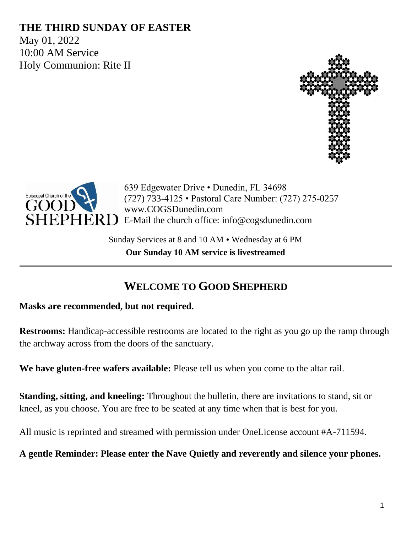# **THE THIRD SUNDAY OF EASTER**

May 01, 2022 10:00 AM Service Holy Communion: Rite II





639 Edgewater Drive • Dunedin, FL 34698 (727) 733-4125 • Pastoral Care Number: (727) 275-0257 www.COGSDunedin.com E-Mail the church office: info@cogsdunedin.com

Sunday Services at 8 and 10 AM • Wednesday at 6 PM **Our Sunday 10 AM service is livestreamed**

# **WELCOME TO GOOD SHEPHERD**

#### **Masks are recommended, but not required.**

**Restrooms:** Handicap-accessible restrooms are located to the right as you go up the ramp through the archway across from the doors of the sanctuary.

**We have gluten-free wafers available:** Please tell us when you come to the altar rail.

**Standing, sitting, and kneeling:** Throughout the bulletin, there are invitations to stand, sit or kneel, as you choose. You are free to be seated at any time when that is best for you.

All music is reprinted and streamed with permission under OneLicense account #A-711594.

**A gentle Reminder: Please enter the Nave Quietly and reverently and silence your phones.**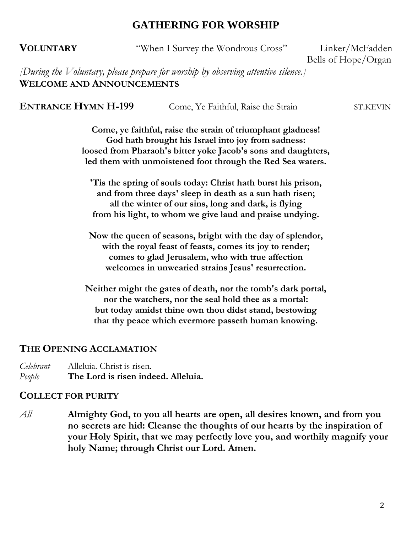#### **GATHERING FOR WORSHIP**

**VOLUNTARY** "When I Survey the Wondrous Cross" Linker/McFadden

Bells of Hope/Organ

*[During the Voluntary, please prepare for worship by observing attentive silence.]* **WELCOME AND ANNOUNCEMENTS**

**ENTRANCE HYMN H-199** Come, Ye Faithful, Raise the Strain ST.KEVIN

**Come, ye faithful, raise the strain of triumphant gladness! God hath brought his Israel into joy from sadness: loosed from Pharaoh's bitter yoke Jacob's sons and daughters, led them with unmoistened foot through the Red Sea waters.**

**'Tis the spring of souls today: Christ hath burst his prison, and from three days' sleep in death as a sun hath risen; all the winter of our sins, long and dark, is flying from his light, to whom we give laud and praise undying.**

**Now the queen of seasons, bright with the day of splendor, with the royal feast of feasts, comes its joy to render; comes to glad Jerusalem, who with true affection welcomes in unwearied strains Jesus' resurrection.**

**Neither might the gates of death, nor the tomb's dark portal, nor the watchers, nor the seal hold thee as a mortal: but today amidst thine own thou didst stand, bestowing that thy peace which evermore passeth human knowing.**

#### **THE OPENING ACCLAMATION**

*Celebrant* Alleluia. Christ is risen. *People* **The Lord is risen indeed. Alleluia.**

#### **COLLECT FOR PURITY**

*All* **Almighty God, to you all hearts are open, all desires known, and from you no secrets are hid: Cleanse the thoughts of our hearts by the inspiration of your Holy Spirit, that we may perfectly love you, and worthily magnify your holy Name; through Christ our Lord. Amen.**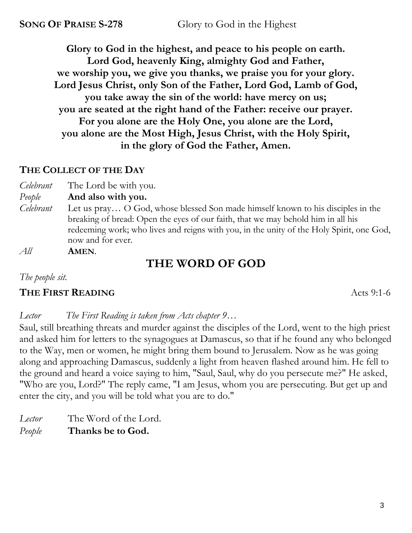**SONG OF PRAISE S-278** Glory to God in the Highest

**Glory to God in the highest, and peace to his people on earth. Lord God, heavenly King, almighty God and Father, we worship you, we give you thanks, we praise you for your glory. Lord Jesus Christ, only Son of the Father, Lord God, Lamb of God, you take away the sin of the world: have mercy on us; you are seated at the right hand of the Father: receive our prayer. For you alone are the Holy One, you alone are the Lord, you alone are the Most High, Jesus Christ, with the Holy Spirit, in the glory of God the Father, Amen.**

#### **THE COLLECT OF THE DAY**

*Celebrant* The Lord be with you.

*People* **And also with you.**

- *Celebrant* Let us pray… O God, whose blessed Son made himself known to his disciples in the breaking of bread: Open the eyes of our faith, that we may behold him in all his redeeming work; who lives and reigns with you, in the unity of the Holy Spirit, one God, now and for ever.
- *All* **AMEN**.

# **THE WORD OF GOD**

*The people sit.*

#### **THE FIRST READING** Acts 9:1-6

*Lector The First Reading is taken from Acts chapter 9…*

Saul, still breathing threats and murder against the disciples of the Lord, went to the high priest and asked him for letters to the synagogues at Damascus, so that if he found any who belonged to the Way, men or women, he might bring them bound to Jerusalem. Now as he was going along and approaching Damascus, suddenly a light from heaven flashed around him. He fell to the ground and heard a voice saying to him, "Saul, Saul, why do you persecute me?" He asked, "Who are you, Lord?" The reply came, "I am Jesus, whom you are persecuting. But get up and enter the city, and you will be told what you are to do."

*Lector* The Word of the Lord. *People* **Thanks be to God.**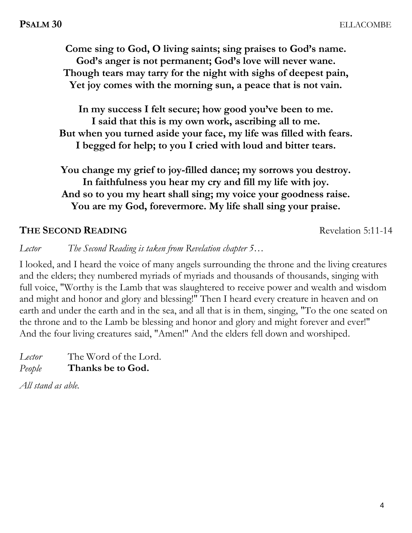**Come sing to God, O living saints; sing praises to God's name. God's anger is not permanent; God's love will never wane. Though tears may tarry for the night with sighs of deepest pain, Yet joy comes with the morning sun, a peace that is not vain.**

**In my success I felt secure; how good you've been to me. I said that this is my own work, ascribing all to me. But when you turned aside your face, my life was filled with fears. I begged for help; to you I cried with loud and bitter tears.**

**You change my grief to joy-filled dance; my sorrows you destroy. In faithfulness you hear my cry and fill my life with joy. And so to you my heart shall sing; my voice your goodness raise. You are my God, forevermore. My life shall sing your praise.**

#### **THE SECOND READING** Revelation 5:11-14

*Lector The Second Reading is taken from Revelation chapter 5…*

I looked, and I heard the voice of many angels surrounding the throne and the living creatures and the elders; they numbered myriads of myriads and thousands of thousands, singing with full voice, "Worthy is the Lamb that was slaughtered to receive power and wealth and wisdom and might and honor and glory and blessing!" Then I heard every creature in heaven and on earth and under the earth and in the sea, and all that is in them, singing, "To the one seated on the throne and to the Lamb be blessing and honor and glory and might forever and ever!" And the four living creatures said, "Amen!" And the elders fell down and worshiped.

*Lector* The Word of the Lord. *People* **Thanks be to God.**

*All stand as able.*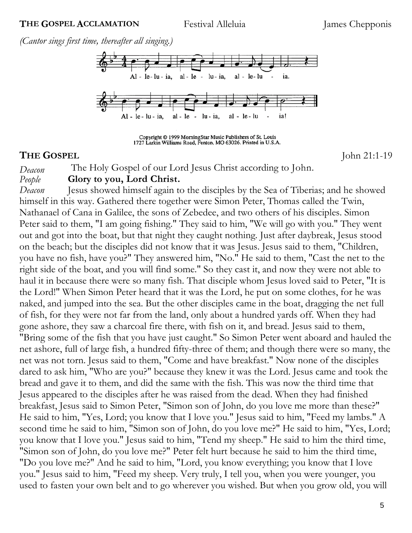#### **THE GOSPEL ACCLAMATION Festival Alleluia** James Chepponis

*(Cantor sings first time, thereafter all singing.)*



Copyright © 1999 MorningStar Music Publishers of St. Louis<br>1727 Larkin Williams Road, Fenton, MO 63026. Printed in U.S.A.

#### **THE GOSPEL** John 21:1-19

*Deacon* The Holy Gospel of our Lord Jesus Christ according to John. *People* **Glory to you, Lord Christ.**

*Deacon* Jesus showed himself again to the disciples by the Sea of Tiberias; and he showed himself in this way. Gathered there together were Simon Peter, Thomas called the Twin, Nathanael of Cana in Galilee, the sons of Zebedee, and two others of his disciples. Simon Peter said to them, "I am going fishing." They said to him, "We will go with you." They went out and got into the boat, but that night they caught nothing. Just after daybreak, Jesus stood on the beach; but the disciples did not know that it was Jesus. Jesus said to them, "Children, you have no fish, have you?" They answered him, "No." He said to them, "Cast the net to the right side of the boat, and you will find some." So they cast it, and now they were not able to haul it in because there were so many fish. That disciple whom Jesus loved said to Peter, "It is the Lord!" When Simon Peter heard that it was the Lord, he put on some clothes, for he was naked, and jumped into the sea. But the other disciples came in the boat, dragging the net full of fish, for they were not far from the land, only about a hundred yards off. When they had gone ashore, they saw a charcoal fire there, with fish on it, and bread. Jesus said to them, "Bring some of the fish that you have just caught." So Simon Peter went aboard and hauled the net ashore, full of large fish, a hundred fifty-three of them; and though there were so many, the net was not torn. Jesus said to them, "Come and have breakfast." Now none of the disciples dared to ask him, "Who are you?" because they knew it was the Lord. Jesus came and took the bread and gave it to them, and did the same with the fish. This was now the third time that Jesus appeared to the disciples after he was raised from the dead. When they had finished breakfast, Jesus said to Simon Peter, "Simon son of John, do you love me more than these?" He said to him, "Yes, Lord; you know that I love you." Jesus said to him, "Feed my lambs." A second time he said to him, "Simon son of John, do you love me?" He said to him, "Yes, Lord; you know that I love you." Jesus said to him, "Tend my sheep." He said to him the third time, "Simon son of John, do you love me?" Peter felt hurt because he said to him the third time, "Do you love me?" And he said to him, "Lord, you know everything; you know that I love you." Jesus said to him, "Feed my sheep. Very truly, I tell you, when you were younger, you used to fasten your own belt and to go wherever you wished. But when you grow old, you will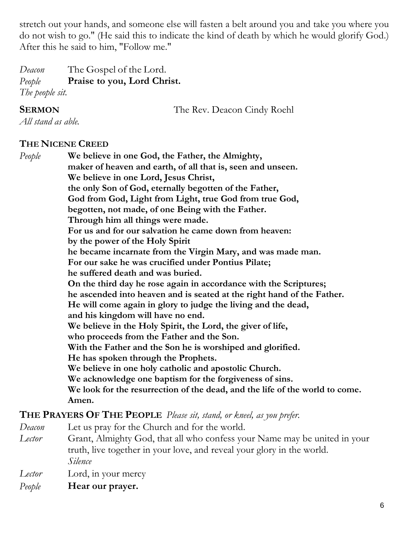stretch out your hands, and someone else will fasten a belt around you and take you where you do not wish to go." (He said this to indicate the kind of death by which he would glorify God.) After this he said to him, "Follow me."

| Deacon          | The Gospel of the Lord.     |
|-----------------|-----------------------------|
| People          | Praise to you, Lord Christ. |
| The people sit. |                             |

**SERMON** The Rev. Deacon Cindy Roehl

#### *All stand as able.*

#### **THE NICENE CREED**

*People* **We believe in one God, the Father, the Almighty, maker of heaven and earth, of all that is, seen and unseen. We believe in one Lord, Jesus Christ, the only Son of God, eternally begotten of the Father, God from God, Light from Light, true God from true God, begotten, not made, of one Being with the Father. Through him all things were made. For us and for our salvation he came down from heaven: by the power of the Holy Spirit he became incarnate from the Virgin Mary, and was made man. For our sake he was crucified under Pontius Pilate; he suffered death and was buried. On the third day he rose again in accordance with the Scriptures; he ascended into heaven and is seated at the right hand of the Father. He will come again in glory to judge the living and the dead, and his kingdom will have no end. We believe in the Holy Spirit, the Lord, the giver of life, who proceeds from the Father and the Son. With the Father and the Son he is worshiped and glorified. He has spoken through the Prophets. We believe in one holy catholic and apostolic Church. We acknowledge one baptism for the forgiveness of sins. We look for the resurrection of the dead, and the life of the world to come. Amen.**

#### **THE PRAYERS OF THE PEOPLE** *Please sit, stand, or kneel, as you prefer.*

- *Deacon* Let us pray for the Church and for the world. *Lector* Grant, Almighty God, that all who confess your Name may be united in your truth, live together in your love, and reveal your glory in the world. *Silence*
- *Lector* Lord, in your mercy
- *People* **Hear our prayer.**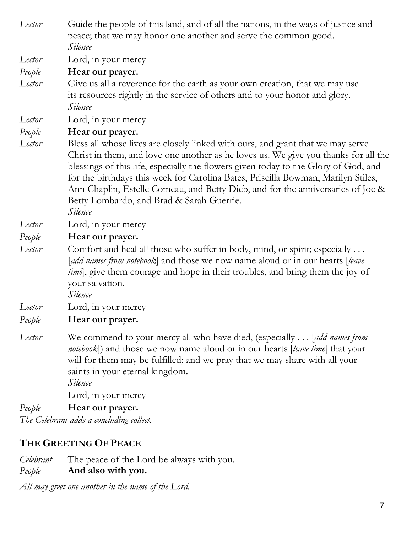| Lector | Guide the people of this land, and of all the nations, in the ways of justice and<br>peace; that we may honor one another and serve the common good.<br>Silence                                                                                                                                                                                                                                                                                                                               |
|--------|-----------------------------------------------------------------------------------------------------------------------------------------------------------------------------------------------------------------------------------------------------------------------------------------------------------------------------------------------------------------------------------------------------------------------------------------------------------------------------------------------|
| Lector | Lord, in your mercy                                                                                                                                                                                                                                                                                                                                                                                                                                                                           |
| People | Hear our prayer.                                                                                                                                                                                                                                                                                                                                                                                                                                                                              |
| Lector | Give us all a reverence for the earth as your own creation, that we may use<br>its resources rightly in the service of others and to your honor and glory.<br>Silence                                                                                                                                                                                                                                                                                                                         |
| Lector | Lord, in your mercy                                                                                                                                                                                                                                                                                                                                                                                                                                                                           |
| People | Hear our prayer.                                                                                                                                                                                                                                                                                                                                                                                                                                                                              |
| Lector | Bless all whose lives are closely linked with ours, and grant that we may serve<br>Christ in them, and love one another as he loves us. We give you thanks for all the<br>blessings of this life, especially the flowers given today to the Glory of God, and<br>for the birthdays this week for Carolina Bates, Priscilla Bowman, Marilyn Stiles,<br>Ann Chaplin, Estelle Comeau, and Betty Dieb, and for the anniversaries of Joe &<br>Betty Lombardo, and Brad & Sarah Guerrie.<br>Silence |
| Lector | Lord, in your mercy                                                                                                                                                                                                                                                                                                                                                                                                                                                                           |
| People | Hear our prayer.                                                                                                                                                                                                                                                                                                                                                                                                                                                                              |
| Lector | Comfort and heal all those who suffer in body, mind, or spirit; especially<br>[add names from notebook] and those we now name aloud or in our hearts [leave<br><i>time</i> , give them courage and hope in their troubles, and bring them the joy of<br>your salvation.<br>Silence                                                                                                                                                                                                            |
| Lector | Lord, in your mercy                                                                                                                                                                                                                                                                                                                                                                                                                                                                           |
| People | Hear our prayer.                                                                                                                                                                                                                                                                                                                                                                                                                                                                              |
| Lector | We commend to your mercy all who have died, (especially $\ldots$ [add names from<br>notebook]) and those we now name aloud or in our hearts [leave time] that your<br>will for them may be fulfilled; and we pray that we may share with all your<br>saints in your eternal kingdom.                                                                                                                                                                                                          |

*Silence*

Lord, in your mercy

*People* **Hear our prayer.**

*The Celebrant adds a concluding collect.* 

# **THE GREETING OF PEACE**

*Celebrant* The peace of the Lord be always with you. *People* **And also with you.**

*All may greet one another in the name of the Lord.*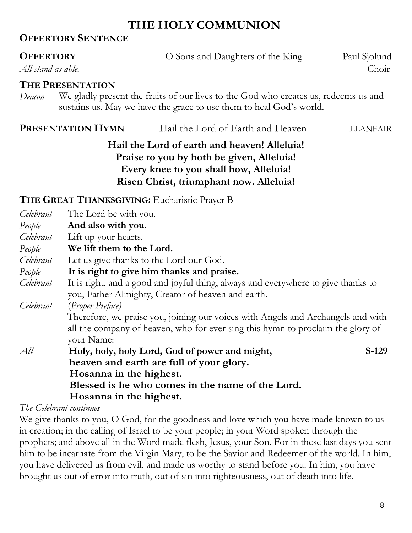# **THE HOLY COMMUNION**

#### **OFFERTORY SENTENCE**

# **OFFERTORY** O Sons and Daughters of the King Paul Sjolund *All stand as able.* Choir

*All stand as able.* 

#### **THE PRESENTATION**

*Deacon* We gladly present the fruits of our lives to the God who creates us, redeems us and sustains us. May we have the grace to use them to heal God's world.

| PRESENTATION HYMN | Hail the Lord of Earth and Heaven | LLANFAIR |
|-------------------|-----------------------------------|----------|
|-------------------|-----------------------------------|----------|

### **Hail the Lord of earth and heaven! Alleluia! Praise to you by both be given, Alleluia! Every knee to you shall bow, Alleluia! Risen Christ, triumphant now. Alleluia!**

#### **THE GREAT THANKSGIVING:** Eucharistic Prayer B

*Celebrant* The Lord be with you. *People* **And also with you.** *Celebrant* Lift up your hearts. *People* **We lift them to the Lord.** *Celebrant* Let us give thanks to the Lord our God. *People* **It is right to give him thanks and praise.** *Celebrant* It is right, and a good and joyful thing, always and everywhere to give thanks to you, Father Almighty, Creator of heaven and earth. *Celebrant* (*Proper Preface)* Therefore, we praise you, joining our voices with Angels and Archangels and with all the company of heaven, who for ever sing this hymn to proclaim the glory of your Name: *All* **Holy, holy, holy Lord, God of power and might, S-129 heaven and earth are full of your glory. Hosanna in the highest. Blessed is he who comes in the name of the Lord. Hosanna in the highest.** 

*The Celebrant continues*

We give thanks to you, O God, for the goodness and love which you have made known to us in creation; in the calling of Israel to be your people; in your Word spoken through the prophets; and above all in the Word made flesh, Jesus, your Son. For in these last days you sent him to be incarnate from the Virgin Mary, to be the Savior and Redeemer of the world. In him, you have delivered us from evil, and made us worthy to stand before you. In him, you have brought us out of error into truth, out of sin into righteousness, out of death into life.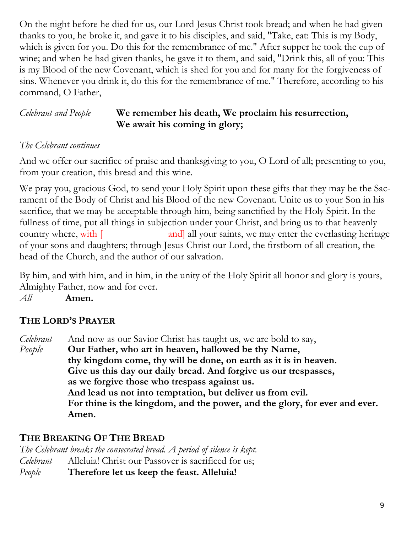On the night before he died for us, our Lord Jesus Christ took bread; and when he had given thanks to you, he broke it, and gave it to his disciples, and said, "Take, eat: This is my Body, which is given for you. Do this for the remembrance of me." After supper he took the cup of wine; and when he had given thanks, he gave it to them, and said, "Drink this, all of you: This is my Blood of the new Covenant, which is shed for you and for many for the forgiveness of sins. Whenever you drink it, do this for the remembrance of me." Therefore, according to his command, O Father,

*Celebrant and People* **We remember his death, We proclaim his resurrection, We await his coming in glory;**

### *The Celebrant continues*

And we offer our sacrifice of praise and thanksgiving to you, O Lord of all; presenting to you, from your creation, this bread and this wine.

We pray you, gracious God, to send your Holy Spirit upon these gifts that they may be the Sacrament of the Body of Christ and his Blood of the new Covenant. Unite us to your Son in his sacrifice, that we may be acceptable through him, being sanctified by the Holy Spirit. In the fullness of time, put all things in subjection under your Christ, and bring us to that heavenly country where, with  $\lbrack$  and all your saints, we may enter the everlasting heritage of your sons and daughters; through Jesus Christ our Lord, the firstborn of all creation, the head of the Church, and the author of our salvation.

By him, and with him, and in him, in the unity of the Holy Spirit all honor and glory is yours, Almighty Father, now and for ever.

*All* **Amen.** 

#### **THE LORD'S PRAYER**

*Celebrant* And now as our Savior Christ has taught us, we are bold to say, *People* **Our Father, who art in heaven, hallowed be thy Name, thy kingdom come, thy will be done, on earth as it is in heaven. Give us this day our daily bread. And forgive us our trespasses, as we forgive those who trespass against us. And lead us not into temptation, but deliver us from evil. For thine is the kingdom, and the power, and the glory, for ever and ever. Amen.**

#### **THE BREAKING OF THE BREAD**

*The Celebrant breaks the consecrated bread. A period of silence is kept. Celebrant* Alleluia! Christ our Passover is sacrificed for us; *People* **Therefore let us keep the feast. Alleluia!**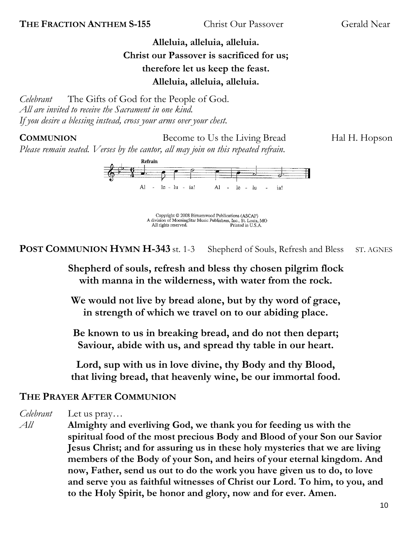### **Alleluia, alleluia, alleluia. Christ our Passover is sacrificed for us; therefore let us keep the feast. Alleluia, alleluia, alleluia.**

*Celebrant* The Gifts of God for the People of God. *All are invited to receive the Sacrament in one kind. If you desire a blessing instead, cross your arms over your chest.*

**COMMUNION** Become to Us the Living Bread Hal H. Hopson



Copyright © 2008 Birnamwood Publications (ASCAP)<br>A division of MorningStar Music Publishers, Inc., St. Louis, MO<br>All rights reserved. Printed in U.S.A.

**POST COMMUNION HYMN H-343** st. 1-3 Shepherd of Souls, Refresh and Bless ST. AGNES

**Shepherd of souls, refresh and bless thy chosen pilgrim flock with manna in the wilderness, with water from the rock.**

**We would not live by bread alone, but by thy word of grace, in strength of which we travel on to our abiding place.**

**Be known to us in breaking bread, and do not then depart; Saviour, abide with us, and spread thy table in our heart.**

**Lord, sup with us in love divine, thy Body and thy Blood, that living bread, that heavenly wine, be our immortal food.**

#### **THE PRAYER AFTER COMMUNION**

*Celebrant* Let us pray… *All* **Almighty and everliving God, we thank you for feeding us with the spiritual food of the most precious Body and Blood of your Son our Savior Jesus Christ; and for assuring us in these holy mysteries that we are living members of the Body of your Son, and heirs of your eternal kingdom. And now, Father, send us out to do the work you have given us to do, to love and serve you as faithful witnesses of Christ our Lord. To him, to you, and to the Holy Spirit, be honor and glory, now and for ever. Amen.**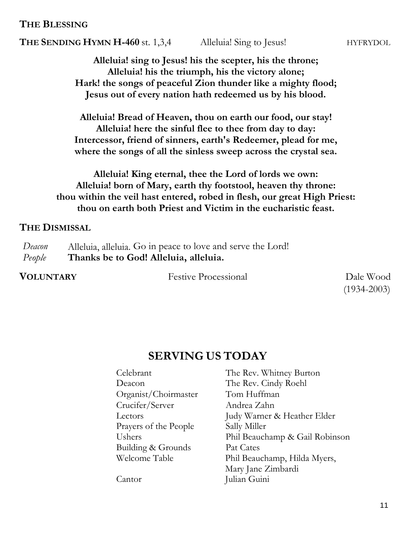#### **THE BLESSING**

**THE SENDING HYMN H-460** st. 1,3,4 Alleluia! Sing to Jesus! HYFRYDOL

**Alleluia! sing to Jesus! his the scepter, his the throne; Alleluia! his the triumph, his the victory alone; Hark! the songs of peaceful Zion thunder like a mighty flood; Jesus out of every nation hath redeemed us by his blood.**

**Alleluia! Bread of Heaven, thou on earth our food, our stay! Alleluia! here the sinful flee to thee from day to day: Intercessor, friend of sinners, earth's Redeemer, plead for me, where the songs of all the sinless sweep across the crystal sea.**

**Alleluia! King eternal, thee the Lord of lords we own: Alleluia! born of Mary, earth thy footstool, heaven thy throne: thou within the veil hast entered, robed in flesh, our great High Priest: thou on earth both Priest and Victim in the eucharistic feast.**

#### **THE DISMISSAL**

| Deacon | Alleluia, alleluia. Go in peace to love and serve the Lord! |
|--------|-------------------------------------------------------------|
| People | Thanks be to God! Alleluia, alleluia.                       |

**VOLUNTARY** Festive Processional Dale Wood

(1934-2003)

# **SERVING US TODAY**

Deacon The Rev. Cindy Roehl Organist/Choirmaster Tom Huffman Crucifer/Server Andrea Zahn Prayers of the People Sally Miller Building & Grounds Pat Cates

Celebrant The Rev. Whitney Burton Lectors Judy Warner & Heather Elder Ushers Phil Beauchamp & Gail Robinson Welcome Table Phil Beauchamp, Hilda Myers, Mary Jane Zimbardi Cantor Julian Guini